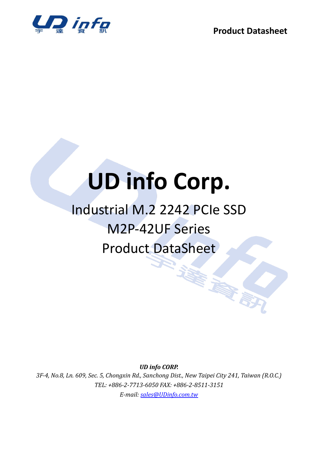

# **UD info Corp.**

## Industrial M.2 2242 PCIe SSD M2P-42UF Series Product DataSheet

*UD info CORP.*

*3F-4, No.8, Ln. 609, Sec. 5, Chongxin Rd., Sanchong Dist., New Taipei City 241, Taiwan (R.O.C.) TEL: +886-2-7713-6050 FAX: +886-2-8511-3151 E-mail: [sales@UDinfo.com.tw](mailto:sales@UDinfo.com.tw)*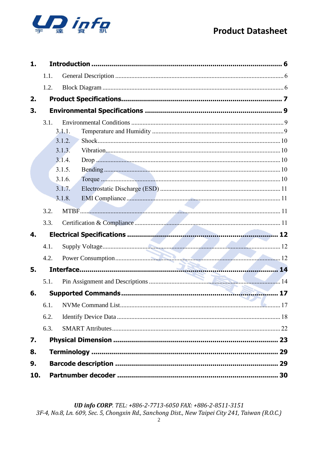

| 1.  |      |                  |  |
|-----|------|------------------|--|
|     | 1.1. |                  |  |
|     | 1.2. |                  |  |
| 2.  |      |                  |  |
| 3.  |      |                  |  |
|     | 3.1. |                  |  |
|     |      | 3.1.1.           |  |
|     |      | 3.1.2.           |  |
|     |      | 3.1.3.           |  |
|     |      | 3.1.4.           |  |
|     |      | 3.1.5.<br>3.1.6. |  |
|     |      | 3.1.7.           |  |
|     |      | 3.1.8.           |  |
|     | 3.2. |                  |  |
|     | 3.3. |                  |  |
| 4.  |      |                  |  |
|     |      |                  |  |
|     | 4.1. |                  |  |
|     | 4.2. |                  |  |
| 5.  |      |                  |  |
|     | 5.1. |                  |  |
| 6.  |      |                  |  |
|     | 6.1. |                  |  |
|     | 6.2. |                  |  |
|     | 6.3. |                  |  |
| 7.  |      |                  |  |
| 8.  |      |                  |  |
| 9.  |      |                  |  |
| 10. |      |                  |  |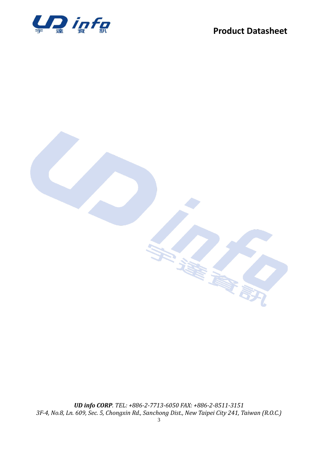

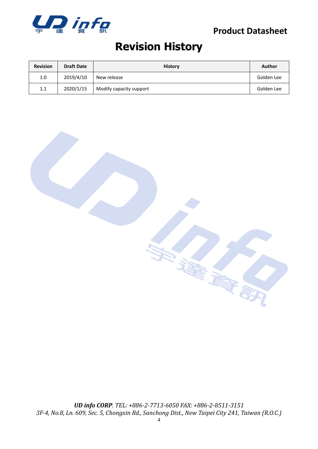

### **Revision History**

| <b>Revision</b> | <b>Draft Date</b> | <b>History</b>          | <b>Author</b> |
|-----------------|-------------------|-------------------------|---------------|
| 1.0             | 2019/4/10         | New release             | Golden Lee    |
| 1.1             | 2020/1/15         | Modify capacity support | Golden Lee    |

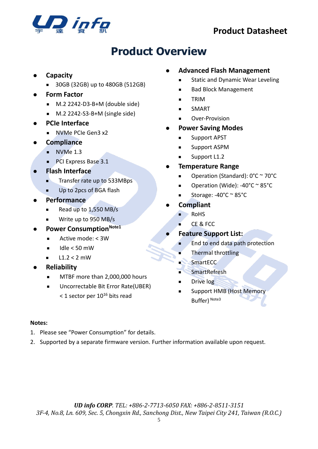

### **Product Overview**

- ⚫ **Capacity**
	- 30GB (32GB) up to 480GB (512GB)
- ⚫ **Form Factor**
	- M.2 2242-D3-B+M (double side)
	- M.2 2242-S3-B+M (single side)
- ⚫ **PCIe Interface**
	- NVMe PCIe Gen3 x2
- ⚫ **Compliance**
	- NVMe 1.3
	- PCI Express Base 3.1
- ⚫ **Flash Interface**
	- Transfer rate up to 533MBps
	- Up to 2pcs of BGA flash
- ⚫ **Performance**
	- Read up to 1,550 MB/s
	- Write up to 950 MB/s
- ⚫ **Power ConsumptionNote1**
	- Active mode: < 3W
	- $\blacksquare$  Idle < 50 mW
	- $L1.2 < 2$  mW
- ⚫ **Reliability**
	- MTBF more than 2,000,000 hours
	- Uncorrectable Bit Error Rate(UBER)  $<$  1 sector per 10<sup>16</sup> bits read
- ⚫ **Advanced Flash Management**
	- Static and Dynamic Wear Leveling
	- **Bad Block Management**
	- TRIM
	- **SMART**
	- Over-Provision

#### ⚫ **Power Saving Modes**

- Support APST
- Support ASPM
- Support L1.2

#### ⚫ **Temperature Range**

- Operation (Standard): 0°C ~ 70°C
- Operation (Wide): -40°C ~ 85°C
- Storage: -40°C ~ 85°C

#### ⚫ **Compliant**

- RoHS
- CE & FCC
- ⚫ **Feature Support List:**
	- End to end data path protection
	- Thermal throttling
	- SmartECC
	- SmartRefresh
	- Drive log
	- Support HMB (Host Memory Buffer) Note3

#### **Notes:**

- 1. Please see "Power Consumption" for details.
- 2. Supported by a separate firmware version. Further information available upon request.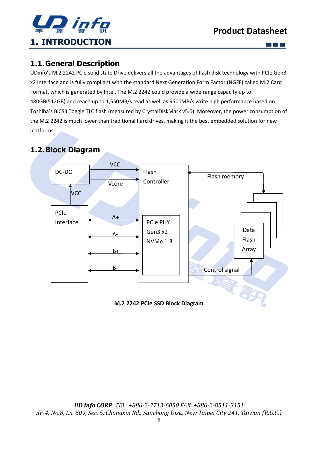

m m m

### <span id="page-5-1"></span><span id="page-5-0"></span>**1.1.General Description**

UDinfo's M.2 2242 PCIe solid state Drive delivers all the advantages of flash disk technology with PCIe Gen3 x2 interface and is fully compliant with the standard Next Generation Form Factor (NGFF) called M.2 Card Format, which is generated by Intel. The M.2 2242 could provide a wide range capacity up to 480GB(512GB) and reach up to 1,550MB/s read as well as 9500MB/s write high performance based on Toshiba's BiCS3 Toggle TLC flash (measured by CrystalDiskMark v5.0). Moreover, the power consumption of the M.2 2242 is much lower than traditional hard drives, making it the best embedded solution for new platforms.

### <span id="page-5-2"></span>**1.2.Block Diagram**



**M.2 2242 PCIe SSD Block Diagram**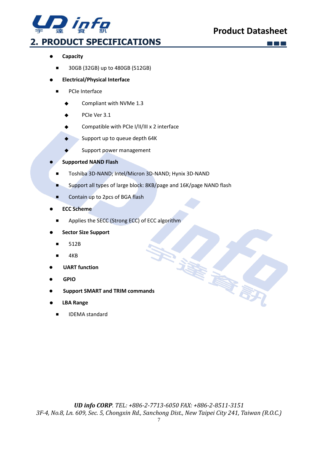<span id="page-6-0"></span>

 $\begin{bmatrix} 1 & 1 \\ 1 & 1 \end{bmatrix}$ 

- ⚫ **Capacity**
	- 30GB (32GB) up to 480GB (512GB)
- ⚫ **Electrical/Physical Interface**
	- PCIe Interface
		- Compliant with NVMe 1.3
		- PCIe Ver 3.1
		- Compatible with PCIe I/II/III x 2 interface
		- Support up to queue depth 64K
		- Support power management
- ⚫ **Supported NAND Flash**
	- Toshiba 3D-NAND; Intel/Micron 3D-NAND; Hynix 3D-NAND
- Support all types of large block: 8KB/page and 16K/page NAND flash
- Contain up to 2pcs of BGA flash
- ⚫ **ECC Scheme**
	- Applies the SECC (Strong ECC) of ECC algorithm
- ⚫ **Sector Size Support**
	- 512B
	- 4KB
- ⚫ **UART function**
- ⚫ **GPIO**
- ⚫ **Support SMART and TRIM commands**
- ⚫ **LBA Range**
	- IDEMA standard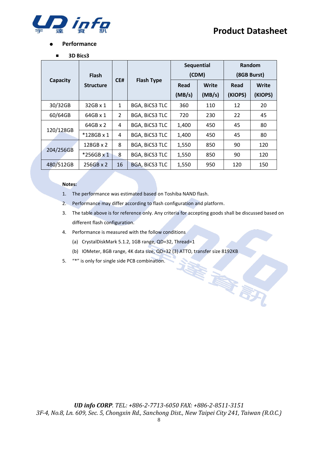春野



#### ⚫ **Performance**

■ **3D Bics3**

|           |                                  |                |                       | <b>Sequential</b> |              | Random      |              |
|-----------|----------------------------------|----------------|-----------------------|-------------------|--------------|-------------|--------------|
|           | <b>Flash</b><br><b>Structure</b> | CE#            | <b>Flash Type</b>     | (CDM)             |              | (8GB Burst) |              |
| Capacity  |                                  |                |                       | Read              | <b>Write</b> | Read        | <b>Write</b> |
|           |                                  |                |                       | (MB/s)            | (MB/s)       | (KIOPS)     | (KIOPS)      |
| 30/32GB   | $32GB \times 1$                  | $\mathbf{1}$   | <b>BGA, BICS3 TLC</b> | 360               | 110          | 12          | 20           |
| 60/64GB   | 64GB x 1                         | $\overline{2}$ | <b>BGA, BICS3 TLC</b> | 720               | 230          | 22          | 45           |
| 120/128GB | 64GB x 2                         | 4              | <b>BGA, BICS3 TLC</b> | 1,400             | 450          | 45          | 80           |
|           | $*128GB \times 1$                | 4              | <b>BGA, BICS3 TLC</b> | 1,400             | 450          | 45          | 80           |
| 204/256GB | $128GB \times 2$                 | 8              | <b>BGA, BICS3 TLC</b> | 1,550             | 850          | 90          | 120          |
|           | *256GB x 1                       | 8              | <b>BGA, BICS3 TLC</b> | 1,550             | 850          | 90          | 120          |
| 480/512GB | $256GB \times 2$                 | 16             | <b>BGA, BICS3 TLC</b> | 1,550             | 950          | 120         | 150          |

#### **Notes:**

- 1. The performance was estimated based on Toshiba NAND flash.
- 2. Performance may differ according to flash configuration and platform.
- 3. The table above is for reference only. Any criteria for accepting goods shall be discussed based on different flash configuration.
- 4. Performance is measured with the follow conditions
	- (a) CrystalDiskMark 5.1.2, 1GB range, QD=32, Thread=1
	- (b) IOMeter, 8GB range, 4K data size, QD=32 (3) ATTO, transfer size 8192KB
- 5. "\*" is only for single side PCB combination.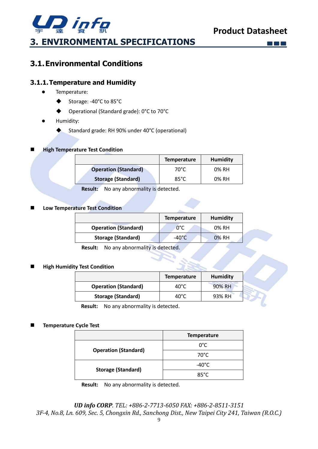

**TITLE** 

### <span id="page-8-1"></span><span id="page-8-0"></span>**3.1.Environmental Conditions**

#### <span id="page-8-2"></span>**3.1.1.Temperature and Humidity**

- ⚫ Temperature:
	- ◆ Storage: -40°C to 85°C
	- ◆ Operational (Standard grade): 0°C to 70°C
- ⚫ Humidity:
	- Standard grade: RH 90% under 40°C (operational)

#### **High Temperature Test Condition**

|                             | <b>Temperature</b> | <b>Humidity</b> |
|-----------------------------|--------------------|-----------------|
| <b>Operation (Standard)</b> | 70°C               | 0% RH           |
| <b>Storage (Standard)</b>   | 85°C               | 0% RH           |

**Result:** No any abnormality is detected.

#### ◼ **Low Temperature Test Condition**

| <b>Humidity</b> |
|-----------------|
| 0% RH           |
| 0% RH           |
|                 |

**Result:** No any abnormality is detected.

#### **High Humidity Test Condition**

|                             | <b>Temperature</b> | Humidity |
|-----------------------------|--------------------|----------|
| <b>Operation (Standard)</b> | 40°C               | 90% RH   |
| <b>Storage (Standard)</b>   | 40°C               | 93% RH   |

**Result:** No any abnormality is detected.

#### ◼ **Temperature Cycle Test**

|                             | <b>Temperature</b> |
|-----------------------------|--------------------|
|                             | $0^{\circ}$ C      |
| <b>Operation (Standard)</b> | $70^{\circ}$ C     |
|                             | $-40^{\circ}$ C    |
| <b>Storage (Standard)</b>   | $85^\circ C$       |

**Result:** No any abnormality is detected.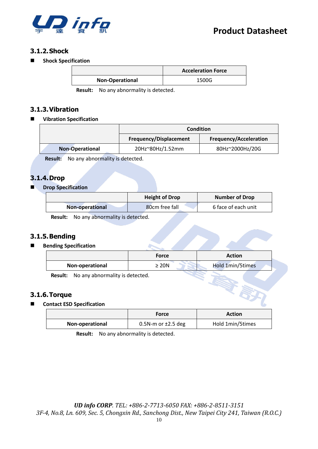

#### <span id="page-9-0"></span>**3.1.2.Shock**

■ Shock Specification

|                        | <b>Acceleration Force</b> |
|------------------------|---------------------------|
| <b>Non-Operational</b> | 1500G                     |

**Result:** No any abnormality is detected.

#### <span id="page-9-1"></span>**3.1.3.Vibration**

■ **Vibration Specification** 

|                        | Condition                     |                               |  |
|------------------------|-------------------------------|-------------------------------|--|
|                        | <b>Frequency/Displacement</b> | <b>Frequency/Acceleration</b> |  |
| <b>Non-Operational</b> | 20Hz~80Hz/1.52mm              | 80Hz~2000Hz/20G               |  |

 **Result:** No any abnormality is detected.

#### <span id="page-9-2"></span>**3.1.4.Drop**

**Drop Specification** 

|                        | <b>Height of Drop</b> | <b>Number of Drop</b> |
|------------------------|-----------------------|-----------------------|
| <b>Non-operational</b> | 80cm free fall        | 6 face of each unit   |

 **Result:** No any abnormality is detected.

#### <span id="page-9-3"></span>**3.1.5.Bending**

■ **Bending Specification** 

|                 | Force      | <b>Action</b>    |
|-----------------|------------|------------------|
| Non-operational | $\geq 20N$ | Hold 1min/5times |

 **Result:** No any abnormality is detected.

#### <span id="page-9-4"></span>**3.1.6.Torque**

#### ■ **Contact ESD Specification**

|                 | <b>Force</b>            | <b>Action</b>    |
|-----------------|-------------------------|------------------|
| Non-operational | 0.5N-m or $\pm$ 2.5 deg | Hold 1min/5times |

**Result:** No any abnormality is detected.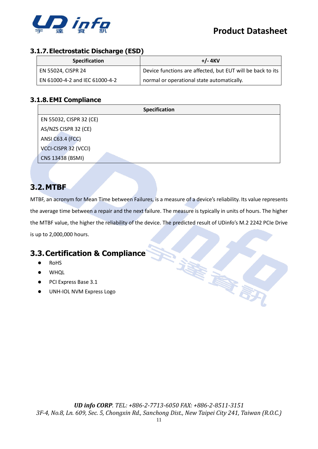

#### <span id="page-10-0"></span>**3.1.7.Electrostatic Discharge (ESD)**

| <b>Specification</b>           | $+/- 4$ KV                                                 |
|--------------------------------|------------------------------------------------------------|
| EN 55024, CISPR 24             | Device functions are affected, but EUT will be back to its |
| EN 61000-4-2 and IEC 61000-4-2 | normal or operational state automatically.                 |

#### <span id="page-10-1"></span>**3.1.8.EMI Compliance**

| Specification           |
|-------------------------|
| EN 55032, CISPR 32 (CE) |
| AS/NZS CISPR 32 (CE)    |
| <b>ANSI C63.4 (FCC)</b> |
| VCCI-CISPR 32 (VCCI)    |
| CNS 13438 (BSMI)        |

### <span id="page-10-2"></span>**3.2.MTBF**

MTBF, an acronym for Mean Time between Failures, is a measure of a device's reliability. Its value represents the average time between a repair and the next failure. The measure is typically in units of hours. The higher the MTBF value, the higher the reliability of the device. The predicted result of UDinfo's M.2 2242 PCIe Drive is up to 2,000,000 hours.

### <span id="page-10-3"></span>**3.3.Certification & Compliance**

- **RoHS**
- ⚫ WHQL
- PCI Express Base 3.1
- ⚫ UNH-IOL NVM Express Logo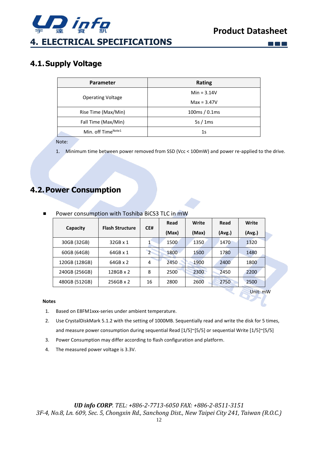

MAN

### <span id="page-11-1"></span><span id="page-11-0"></span>**4.1.Supply Voltage**

| <b>Parameter</b>         | <b>Rating</b>                       |
|--------------------------|-------------------------------------|
|                          | $Min = 3.14V$                       |
| <b>Operating Voltage</b> | $Max = 3.47V$                       |
| Rise Time (Max/Min)      | $100\,\mathrm{ms}/0.1\,\mathrm{ms}$ |
| Fall Time (Max/Min)      | 5s/1ms                              |
| Min. off TimeNote1       | 1s                                  |

Note:

1. Minimum time between power removed from SSD (Vcc < 100mW) and power re-applied to the drive.

### <span id="page-11-2"></span>**4.2.Power Consumption**

|               |                                    |                | Read  | Write | Read   | Write    |  |
|---------------|------------------------------------|----------------|-------|-------|--------|----------|--|
|               | <b>Flash Structure</b><br>Capacity | CE#            | (Max) | (Max) | (Avg.) | (Avg.)   |  |
| 30GB (32GB)   | $32GB \times 1$                    |                | 1500  | 1350  | 1470   | 1320     |  |
| 60GB (64GB)   | 64GB x 1                           | $\overline{2}$ | 1800  | 1500  | 1780   | 1480     |  |
| 120GB (128GB) | $64GB \times 2$                    | 4              | 2450  | 1900  | 2400   | 1800     |  |
| 240GB (256GB) | 128GB x 2                          | 8              | 2500  | 2300  | 2450   | 2200     |  |
| 480GB (512GB) | $256GB \times 2$                   | 16             | 2800  | 2600  | 2750   | 2500     |  |
|               |                                    |                |       |       |        | Unit: mW |  |

#### Power consumption with Toshiba BiCS3 TLC in mW

#### **Notes**

- 1. Based on E8FM1xxx-series under ambient temperature.
- 2. Use CrystalDiskMark 5.1.2 with the setting of 1000MB. Sequentially read and write the disk for 5 times, and measure power consumption during sequential Read [1/5]~[5/5] or sequential Write [1/5]~[5/5]
- 3. Power Consumption may differ according to flash configuration and platform.
- 4. The measured power voltage is 3.3V.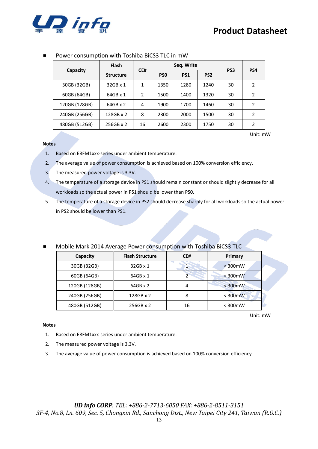

| Capacity      | <b>Flash</b>     | CE#            |                 | Seq. Write      |                 |                 |                |
|---------------|------------------|----------------|-----------------|-----------------|-----------------|-----------------|----------------|
|               | <b>Structure</b> |                | PS <sub>0</sub> | PS <sub>1</sub> | PS <sub>2</sub> | PS <sub>3</sub> | PS4            |
| 30GB (32GB)   | $32GB \times 1$  | 1              | 1350            | 1280            | 1240            | 30              | $\mathfrak{p}$ |
| 60GB (64GB)   | 64GB x 1         | $\overline{2}$ | 1500            | 1400            | 1320            | 30              | $\mathfrak{p}$ |
| 120GB (128GB) | $64GB \times 2$  | 4              | 1900            | 1700            | 1460            | 30              | 2              |
| 240GB (256GB) | $128GB \times 2$ | 8              | 2300            | 2000            | 1500            | 30              | $\mathcal{P}$  |
| 480GB (512GB) | $256GB \times 2$ | 16             | 2600            | 2300            | 1750            | 30              | $\mathcal{P}$  |

#### Power consumption with Toshiba BiCS3 TLC in mW

Unit: mW

#### **Notes**

- 1. Based on E8FM1xxx-series under ambient temperature.
- 2. The average value of power consumption is achieved based on 100% conversion efficiency.
- 3. The measured power voltage is 3.3V.
- 4. The temperature of a storage device in PS1 should remain constant or should slightly decrease for all workloads so the actual power in PS1 should be lower than PS0.
- 5. The temperature of a storage device in PS2 should decrease sharply for all workloads so the actual power in PS2 should be lower than PS1.

#### Mobile Mark 2014 Average Power consumption with Toshiba BiCS3 TLC

| Capacity      | <b>Flash Structure</b> | CE# | Primary       |
|---------------|------------------------|-----|---------------|
| 30GB (32GB)   | 32GB x 1               |     | $<$ 300 $mW$  |
| 60GB (64GB)   | 64GB x 1               |     | $<$ 300 $mW$  |
| 120GB (128GB) | $64GB \times 2$        | 4   | $<$ 300 $mW$  |
| 240GB (256GB) | $128GB \times 2$       | 8   | $<$ 300 $mW$  |
| 480GB (512GB) | $256GB \times 2$       | 16  | $<$ 300 $m$ W |

Unit: mW

#### **Notes**

- 1. Based on E8FM1xxx-series under ambient temperature.
- 2. The measured power voltage is 3.3V.
- 3. The average value of power consumption is achieved based on 100% conversion efficiency.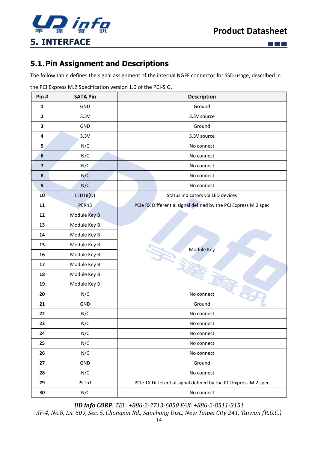

**EN** 

### <span id="page-13-1"></span><span id="page-13-0"></span>**5.1.Pin Assignment and Descriptions**

The follow table defines the signal assignment of the internal NGFF connector for SSD usage, described in

| Pin#                    | <b>SATA Pin</b> | <b>Description</b>                                              |  |
|-------------------------|-----------------|-----------------------------------------------------------------|--|
| $\mathbf{1}$            | GND             | Ground                                                          |  |
| $\overline{2}$          | 3.3V            | 3.3V source                                                     |  |
| $\overline{\mathbf{3}}$ | GND             | Ground                                                          |  |
| $\pmb{4}$               | 3.3V            | 3.3V source                                                     |  |
| 5                       | N/C             | No connect                                                      |  |
| $\boldsymbol{6}$        | N/C             | No connect                                                      |  |
| $\overline{\mathbf{z}}$ | N/C             | No connect                                                      |  |
| 8                       | N/C             | No connect                                                      |  |
| $\boldsymbol{9}$        | N/C             | No connect                                                      |  |
| 10                      | LED1# (O)       | Status indicators via LED devices                               |  |
| 11                      | PERn3           | PCIe RX Differential signal defined by the PCI Express M.2 spec |  |
| 12                      | Module Key B    |                                                                 |  |
| 13                      | Module Key B    |                                                                 |  |
| 14                      | Module Key B    |                                                                 |  |
| 15                      | Module Key B    | Module Key                                                      |  |
| 16                      | Module Key B    |                                                                 |  |
| 17                      | Module Key B    |                                                                 |  |
| 18                      | Module Key B    |                                                                 |  |
| 19                      | Module Key B    |                                                                 |  |
| 20                      | N/C             | No connect                                                      |  |
| 21                      | <b>GND</b>      | Ground                                                          |  |
| 22                      | N/C             | No connect                                                      |  |
| 23                      | N/C             | No connect                                                      |  |
| 24                      | N/C             | No connect                                                      |  |
| 25                      | N/C             | No connect                                                      |  |
| 26                      | N/C             | No connect                                                      |  |
| 27                      | GND             | Ground                                                          |  |
| 28                      | N/C             | No connect                                                      |  |
| 29                      | PETn1           | PCIe TX Differential signal defined by the PCI Express M.2 spec |  |
| 30                      | N/C             | No connect                                                      |  |

the PCI Express M.2 Specification version 1.0 of the PCI-SIG.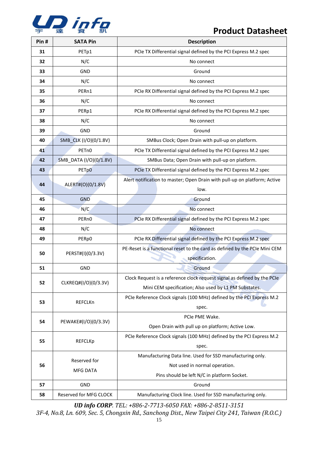

| Pin# | <b>SATA Pin</b>        | <b>Description</b>                                                                           |
|------|------------------------|----------------------------------------------------------------------------------------------|
| 31   | PETp1                  | PCIe TX Differential signal defined by the PCI Express M.2 spec                              |
| 32   | N/C                    | No connect                                                                                   |
| 33   | GND                    | Ground                                                                                       |
| 34   | N/C                    | No connect                                                                                   |
| 35   | PERn1                  | PCIe RX Differential signal defined by the PCI Express M.2 spec                              |
| 36   | N/C                    | No connect                                                                                   |
| 37   | PERp1                  | PCIe RX Differential signal defined by the PCI Express M.2 spec                              |
| 38   | N/C                    | No connect                                                                                   |
| 39   | GND                    | Ground                                                                                       |
| 40   | SMB_CLK (I/O)(0/1.8V)  | SMBus Clock; Open Drain with pull-up on platform.                                            |
| 41   | PET <sub>n0</sub>      | PCIe TX Differential signal defined by the PCI Express M.2 spec                              |
| 42   | SMB_DATA (I/O)(0/1.8V) | SMBus Data; Open Drain with pull-up on platform.                                             |
| 43   | PETp0                  | PCIe TX Differential signal defined by the PCI Express M.2 spec                              |
| 44   | ALERT#(O)(0/1.8V)      | Alert notification to master; Open Drain with pull-up on platform; Active<br>low.            |
| 45   | <b>GND</b>             | Ground                                                                                       |
| 46   | N/C                    | No connect                                                                                   |
| 47   | PER <sub>n0</sub>      | PCIe RX Differential signal defined by the PCI Express M.2 spec                              |
| 48   | N/C                    | No connect                                                                                   |
| 49   | PERp0                  | PCIe RX Differential signal defined by the PCI Express M.2 spec                              |
| 50   | PERST#(I)(0/3.3V)      | PE-Reset is a functional reset to the card as defined by the PCIe Mini CEM<br>specification. |
| 51   | <b>GND</b>             | Ground                                                                                       |
|      |                        | Clock Request is a reference clock request signal as defined by the PCIe                     |
| 52   | CLKREQ#(I/O)(0/3.3V)   | Mini CEM specification; Also used by L1 PM Substates.                                        |
|      |                        | PCIe Reference Clock signals (100 MHz) defined by the PCI Express M.2                        |
| 53   | REFCLKn                | spec.                                                                                        |
| 54   | PEWAKE#(I/O)(0/3.3V)   | PCIe PME Wake.                                                                               |
|      |                        | Open Drain with pull up on platform; Active Low.                                             |
| 55   | <b>REFCLKp</b>         | PCIe Reference Clock signals (100 MHz) defined by the PCI Express M.2                        |
|      |                        | spec.                                                                                        |
|      | Reserved for           | Manufacturing Data line. Used for SSD manufacturing only.                                    |
| 56   | <b>MFG DATA</b>        | Not used in normal operation.                                                                |
|      |                        | Pins should be left N/C in platform Socket.                                                  |
| 57   | GND                    | Ground                                                                                       |
| 58   | Reserved for MFG CLOCK | Manufacturing Clock line. Used for SSD manufacturing only.                                   |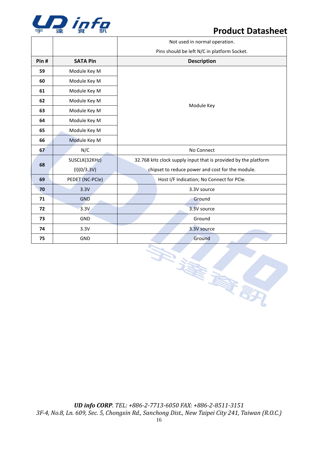

|      |                 | Not used in normal operation.                                  |  |  |  |
|------|-----------------|----------------------------------------------------------------|--|--|--|
|      |                 | Pins should be left N/C in platform Socket.                    |  |  |  |
| Pin# | <b>SATA Pin</b> | <b>Description</b>                                             |  |  |  |
| 59   | Module Key M    |                                                                |  |  |  |
| 60   | Module Key M    |                                                                |  |  |  |
| 61   | Module Key M    |                                                                |  |  |  |
| 62   | Module Key M    |                                                                |  |  |  |
| 63   | Module Key M    | Module Key                                                     |  |  |  |
| 64   | Module Key M    |                                                                |  |  |  |
| 65   | Module Key M    |                                                                |  |  |  |
| 66   | Module Key M    |                                                                |  |  |  |
| 67   | N/C             | No Connect                                                     |  |  |  |
| 68   | SUSCLK(32KHz)   | 32.768 kHz clock supply input that is provided by the platform |  |  |  |
|      | (I)(0/3.3V)     | chipset to reduce power and cost for the module.               |  |  |  |
| 69   | PEDET (NC-PCIe) | Host I/F Indication; No Connect for PCIe.                      |  |  |  |
| 70   | 3.3V            | 3.3V source                                                    |  |  |  |
| 71   | <b>GND</b>      | Ground                                                         |  |  |  |
| 72   | 3.3V            | 3.3V source                                                    |  |  |  |
| 73   | <b>GND</b>      | Ground                                                         |  |  |  |
| 74   | 3.3V            | 3.3V source                                                    |  |  |  |
| 75   | GND             | Ground                                                         |  |  |  |

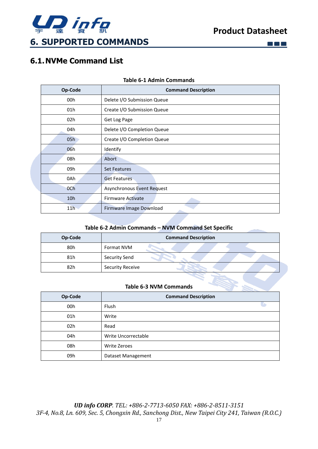

 $\Box$   $\Box$   $\Box$ 

### <span id="page-16-1"></span><span id="page-16-0"></span>**6.1.NVMe Command List**

|  |  |  | <b>Table 6-1 Admin Commands</b> |
|--|--|--|---------------------------------|
|--|--|--|---------------------------------|

| Op-Code         | <b>Command Description</b>  |
|-----------------|-----------------------------|
| 00h             | Delete I/O Submission Queue |
| 01h             | Create I/O Submission Queue |
| 02h             | Get Log Page                |
| 04h             | Delete I/O Completion Queue |
| 05h             | Create I/O Completion Queue |
| 06h             | Identify                    |
| 08h             | Abort                       |
| 09h             | <b>Set Features</b>         |
| 0Ah             | <b>Get Features</b>         |
| 0Ch             | Asynchronous Event Request  |
| 10h             | <b>Firmware Activate</b>    |
| 11 <sub>h</sub> | Firmware Image Download     |

#### **Table 6-2 Admin Commands – NVM Command Set Specific**

| Op-Code | <b>Command Description</b> |
|---------|----------------------------|
| 80h     | Format NVM                 |
| 81h     | <b>Security Send</b>       |
| 82h     | <b>Security Receive</b>    |

#### **Table 6-3 NVM Commands**

| Op-Code | <b>Command Description</b> |  |  |  |  |
|---------|----------------------------|--|--|--|--|
| 00h     | <b>Flush</b>               |  |  |  |  |
| 01h     | Write                      |  |  |  |  |
| 02h     | Read                       |  |  |  |  |
| 04h     | Write Uncorrectable        |  |  |  |  |
| 08h     | Write Zeroes               |  |  |  |  |
| 09h     | Dataset Management         |  |  |  |  |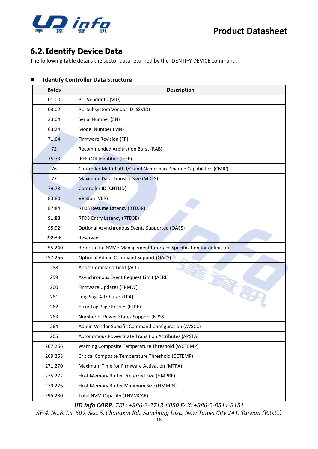



### <span id="page-17-0"></span>**6.2.Identify Device Data**

The following table details the sector data returned by the IDENTIFY DEVICE command.

#### ◼ **Identify Controller Data Structure**

| <b>Bytes</b> | <b>Description</b>                                                  |  |  |  |  |  |
|--------------|---------------------------------------------------------------------|--|--|--|--|--|
| 01:00        | PCI Vendor ID (VID)                                                 |  |  |  |  |  |
| 03:02        | PCI Subsystem Vendor ID (SSVID)                                     |  |  |  |  |  |
| 23:04        | Serial Number (SN)                                                  |  |  |  |  |  |
| 63:24        | Model Number (MN)                                                   |  |  |  |  |  |
| 71:64        | <b>Firmware Revision (FR)</b>                                       |  |  |  |  |  |
| 72           | Recommended Arbitration Burst (RAB)                                 |  |  |  |  |  |
| 75:73        | IEEE OUI Identifier (IEEE)                                          |  |  |  |  |  |
| 76           | Controller Multi-Path I/O and Namespace Sharing Capabilities (CMIC) |  |  |  |  |  |
| 77           | Maximum Data Transfer Size (MDTS)                                   |  |  |  |  |  |
| 79:78        | Controller ID (CNTLID)                                              |  |  |  |  |  |
| 83:80        | Version (VER)                                                       |  |  |  |  |  |
| 87:84        | RTD3 Resume Latency (RTD3R)                                         |  |  |  |  |  |
| 91:88        | RTD3 Entry Latency (RTD3E)                                          |  |  |  |  |  |
| 95:92        | Optional Asynchronous Events Supported (OAES)                       |  |  |  |  |  |
| 239:96       | Reserved                                                            |  |  |  |  |  |
| 255:240      | Refer to the NVMe Management Interface Specification for definition |  |  |  |  |  |
| 257:256      | <b>Optional Admin Command Support (OACS)</b>                        |  |  |  |  |  |
| 258          | Abort Command Limit (ACL)                                           |  |  |  |  |  |
| 259          | Asynchronous Event Request Limit (AERL)                             |  |  |  |  |  |
| 260          | Firmware Updates (FRMW)                                             |  |  |  |  |  |
| 261          | Log Page Attributes (LPA)                                           |  |  |  |  |  |
| 262          | Error Log Page Entries (ELPE)                                       |  |  |  |  |  |
| 263          | Number of Power States Support (NPSS)                               |  |  |  |  |  |
| 264          | Admin Vendor Specific Command Configuration (AVSCC)                 |  |  |  |  |  |
| 265          | Autonomous Power State Transition Attributes (APSTA)                |  |  |  |  |  |
| 267:266      | Warning Composite Temperature Threshold (WCTEMP)                    |  |  |  |  |  |
| 269:268      | Critical Composite Temperature Threshold (CCTEMP)                   |  |  |  |  |  |
| 271:270      | Maximum Time for Firmware Activation (MTFA)                         |  |  |  |  |  |
| 275:272      | Host Memory Buffer Preferred Size (HMPRE)                           |  |  |  |  |  |
| 279:276      | Host Memory Buffer Minimum Size (HMMIN)                             |  |  |  |  |  |
| 295:280      | <b>Total NVM Capacity (TNVMCAP)</b>                                 |  |  |  |  |  |

*UD info CORP. TEL: +886-2-7713-6050 FAX: +886-2-8511-3151*

*3F-4, No.8, Ln. 609, Sec. 5, Chongxin Rd., Sanchong Dist., New Taipei City 241, Taiwan (R.O.C.)*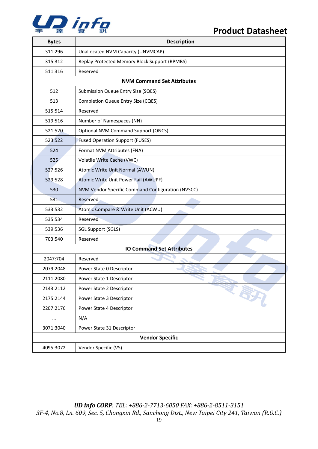# **LD** infn

### **Product Datasheet**

| <b>Bytes</b>           | <b>Description</b>                                |  |  |  |
|------------------------|---------------------------------------------------|--|--|--|
| 311:296                | Unallocated NVM Capacity (UNVMCAP)                |  |  |  |
| 315:312                | Replay Protected Memory Block Support (RPMBS)     |  |  |  |
| 511:316                | Reserved                                          |  |  |  |
|                        | <b>NVM Command Set Attributes</b>                 |  |  |  |
| 512                    | Submission Queue Entry Size (SQES)                |  |  |  |
| 513                    | Completion Queue Entry Size (CQES)                |  |  |  |
| 515:514                | Reserved                                          |  |  |  |
| 519:516                | Number of Namespaces (NN)                         |  |  |  |
| 521:520                | <b>Optional NVM Command Support (ONCS)</b>        |  |  |  |
| 523:522                | <b>Fused Operation Support (FUSES)</b>            |  |  |  |
| 524                    | Format NVM Attributes (FNA)                       |  |  |  |
| 525                    | Volatile Write Cache (VWC)                        |  |  |  |
| 527:526                | Atomic Write Unit Normal (AWUN)                   |  |  |  |
| 529:528                | Atomic Write Unit Power Fail (AWUPF)              |  |  |  |
| 530                    | NVM Vendor Specific Command Configuration (NVSCC) |  |  |  |
| 531                    | Reserved                                          |  |  |  |
| 533:532                | Atomic Compare & Write Unit (ACWU)                |  |  |  |
| 535:534                | Reserved                                          |  |  |  |
| 539:536                | SGL Support (SGLS)                                |  |  |  |
| 703:540                | Reserved                                          |  |  |  |
|                        | <b>IO Command Set Attributes</b>                  |  |  |  |
| 2047:704               | Reserved                                          |  |  |  |
| 2079:2048              | Power State 0 Descriptor                          |  |  |  |
| 2111:2080              | Power State 1 Descriptor                          |  |  |  |
| 2143:2112              | Power State 2 Descriptor                          |  |  |  |
| 2175:2144              | Power State 3 Descriptor                          |  |  |  |
| 2207:2176              | Power State 4 Descriptor                          |  |  |  |
| $\cdots$               | N/A                                               |  |  |  |
| 3071:3040              | Power State 31 Descriptor                         |  |  |  |
| <b>Vendor Specific</b> |                                                   |  |  |  |
| 4095:3072              | Vendor Specific (VS)                              |  |  |  |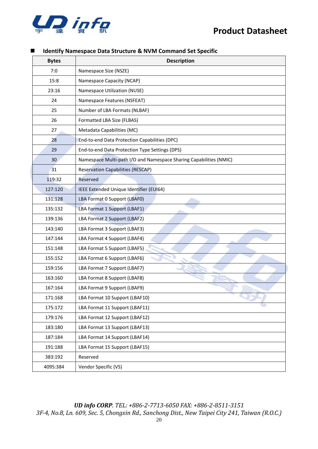

| <b>Bytes</b> | <b>Description</b>                                                 |  |  |  |  |
|--------------|--------------------------------------------------------------------|--|--|--|--|
| 7:0          | Namespace Size (NSZE)                                              |  |  |  |  |
| 15:8         | Namespace Capacity (NCAP)                                          |  |  |  |  |
| 23:16        | Namespace Utilization (NUSE)                                       |  |  |  |  |
| 24           | Namespace Features (NSFEAT)                                        |  |  |  |  |
| 25           | Number of LBA Formats (NLBAF)                                      |  |  |  |  |
| 26           | Formatted LBA Size (FLBAS)                                         |  |  |  |  |
| 27           | Metadata Capabilities (MC)                                         |  |  |  |  |
| 28           | End-to-end Data Protection Capabilities (DPC)                      |  |  |  |  |
| 29           | End-to-end Data Protection Type Settings (DPS)                     |  |  |  |  |
| 30           | Namespace Multi-path I/O and Namespace Sharing Capabilities (NMIC) |  |  |  |  |
| 31           | <b>Reservation Capabilities (RESCAP)</b>                           |  |  |  |  |
| 119:32       | Reserved                                                           |  |  |  |  |
| 127:120      | IEEE Extended Unique Identifier (EUI64)                            |  |  |  |  |
| 131:128      | LBA Format 0 Support (LBAF0)                                       |  |  |  |  |
| 135:132      | LBA Format 1 Support (LBAF1)                                       |  |  |  |  |
| 139:136      | LBA Format 2 Support (LBAF2)                                       |  |  |  |  |
| 143:140      | LBA Format 3 Support (LBAF3)                                       |  |  |  |  |
| 147:144      | LBA Format 4 Support (LBAF4)                                       |  |  |  |  |
| 151:148      | LBA Format 5 Support (LBAF5)                                       |  |  |  |  |
| 155:152      | LBA Format 6 Support (LBAF6)                                       |  |  |  |  |
| 159:156      | LBA Format 7 Support (LBAF7)                                       |  |  |  |  |
| 163:160      | LBA Format 8 Support (LBAF8)                                       |  |  |  |  |
| 167:164      | LBA Format 9 Support (LBAF9)                                       |  |  |  |  |
| 171:168      | LBA Format 10 Support (LBAF10)                                     |  |  |  |  |
| 175:172      | LBA Format 11 Support (LBAF11)                                     |  |  |  |  |
| 179:176      | LBA Format 12 Support (LBAF12)                                     |  |  |  |  |
| 183:180      | LBA Format 13 Support (LBAF13)                                     |  |  |  |  |
| 187:184      | LBA Format 14 Support (LBAF14)                                     |  |  |  |  |
| 191:188      | LBA Format 15 Support (LBAF15)                                     |  |  |  |  |
| 383:192      | Reserved                                                           |  |  |  |  |
| 4095:384     | Vendor Specific (VS)                                               |  |  |  |  |

#### ■ **Identify Namespace Data Structure & NVM Command Set Specific**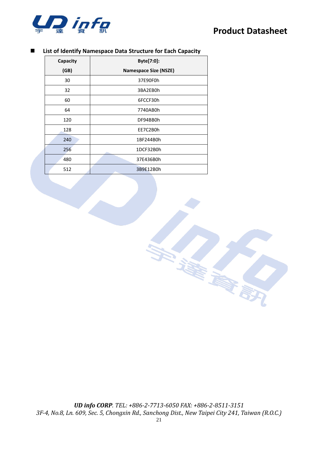

| Capacity | Byte[7:0]:                   |  |  |  |
|----------|------------------------------|--|--|--|
| (GB)     | <b>Namespace Size (NSZE)</b> |  |  |  |
| 30       | 37E90F0h                     |  |  |  |
| 32       | 3BA2EB0h                     |  |  |  |
| 60       | 6FCCF30h                     |  |  |  |
| 64       | 7740AB0h                     |  |  |  |
| 120      | DF94BB0h                     |  |  |  |
| 128      | EE7C2B0h                     |  |  |  |
| 240      | 1BF244B0h                    |  |  |  |
| 256      | 1DCF32B0h                    |  |  |  |
| 480      | 37E436B0h                    |  |  |  |
| 512      | 3B9E12B0h                    |  |  |  |

#### ◼ **List of Identify Namespace Data Structure for Each Capacity**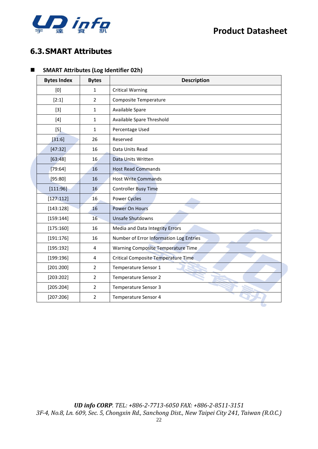

### <span id="page-21-0"></span>**6.3.SMART Attributes**

#### ◼ **SMART Attributes (Log Identifier 02h)**

| <b>Bytes Index</b> | <b>Bytes</b>            | <b>Description</b>                         |  |  |  |  |
|--------------------|-------------------------|--------------------------------------------|--|--|--|--|
| [0]                | $\mathbf{1}$            | <b>Critical Warning</b>                    |  |  |  |  |
| [2:1]              | $\overline{2}$          | <b>Composite Temperature</b>               |  |  |  |  |
| $[3]$              | $\mathbf{1}$            | Available Spare                            |  |  |  |  |
| $[4]$              | $\mathbf{1}$            | Available Spare Threshold                  |  |  |  |  |
| $[5]$              | $\mathbf{1}$            | Percentage Used                            |  |  |  |  |
| [31:6]             | 26                      | Reserved                                   |  |  |  |  |
| [47:32]            | 16                      | Data Units Read                            |  |  |  |  |
| [63:48]            | 16                      | Data Units Written                         |  |  |  |  |
| [79:64]            | 16                      | <b>Host Read Commands</b>                  |  |  |  |  |
| [95:80]            | 16                      | <b>Host Write Commands</b>                 |  |  |  |  |
| [111:96]           | 16                      | <b>Controller Busy Time</b>                |  |  |  |  |
| [127:112]          | 16                      | <b>Power Cycles</b>                        |  |  |  |  |
| [143:128]          | 16                      | Power On Hours                             |  |  |  |  |
| [159:144]          | 16                      | <b>Unsafe Shutdowns</b>                    |  |  |  |  |
| [175:160]          | 16                      | Media and Data Integrity Errors            |  |  |  |  |
| [191:176]          | 16                      | Number of Error Information Log Entries    |  |  |  |  |
| [195:192]          | $\overline{\mathbf{4}}$ | <b>Warning Composite Temperature Time</b>  |  |  |  |  |
| [199:196]          | $\overline{4}$          | <b>Critical Composite Temperature Time</b> |  |  |  |  |
| [201:200]          | $\overline{2}$          | Temperature Sensor 1                       |  |  |  |  |
| [203:202]          | 2                       | Temperature Sensor 2                       |  |  |  |  |
| [205:204]          | $\overline{2}$          | Temperature Sensor 3                       |  |  |  |  |
| [207:206]          | $\overline{2}$          | Temperature Sensor 4                       |  |  |  |  |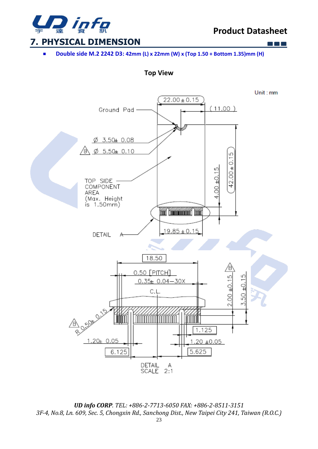

 $\Box$   $\Box$   $\Box$ 

<span id="page-22-0"></span>■ **Double side M.2 2242 D3: 42mm (L) x 22mm (W) x (Top 1.50 + Bottom 1.35)mm (H)**

**Top View**



*UD info CORP. TEL: +886-2-7713-6050 FAX: +886-2-8511-3151 3F-4, No.8, Ln. 609, Sec. 5, Chongxin Rd., Sanchong Dist., New Taipei City 241, Taiwan (R.O.C.)*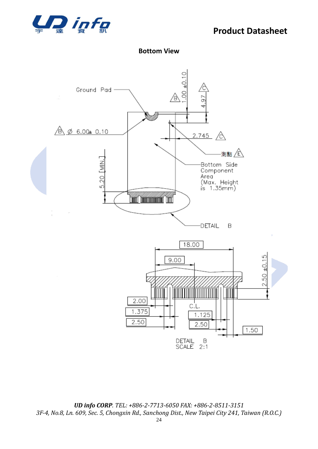

**Bottom View**

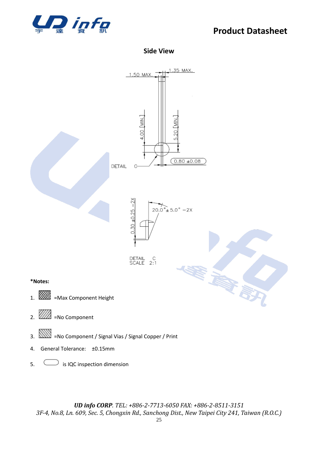

**Side View**

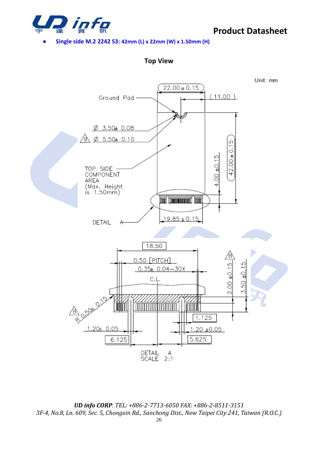

■ **Single side M.2 2242 S3: 42mm (L) x 22mm (W) x 1.50mm (H)**

**Top View**

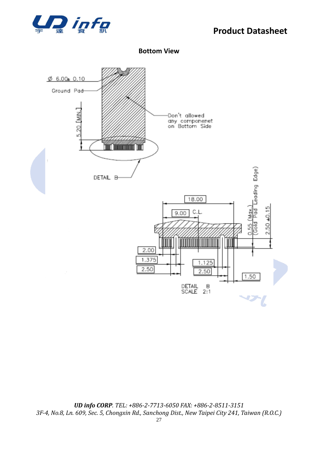



**Bottom View**

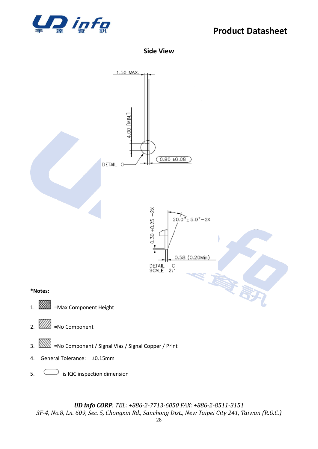



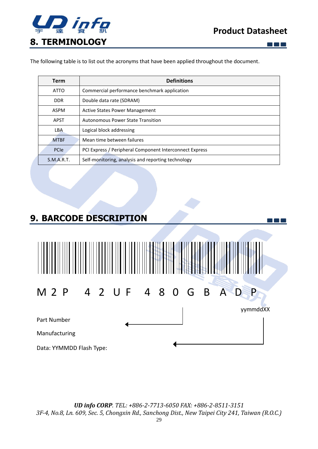

 $\Box$   $\Box$   $\Box$ 

 $\Box$   $\Box$   $\Box$ 

<span id="page-28-0"></span>The following table is to list out the acronyms that have been applied throughout the document.

| <b>Term</b> | <b>Definitions</b>                                      |  |  |  |  |
|-------------|---------------------------------------------------------|--|--|--|--|
| ATTO        | Commercial performance benchmark application            |  |  |  |  |
| <b>DDR</b>  | Double data rate (SDRAM)                                |  |  |  |  |
| ASPM        | Active States Power Management                          |  |  |  |  |
| <b>APST</b> | <b>Autonomous Power State Transition</b>                |  |  |  |  |
| LBA         | Logical block addressing                                |  |  |  |  |
| <b>MTBF</b> | Mean time between failures                              |  |  |  |  |
| PCIe        | PCI Express / Peripheral Component Interconnect Express |  |  |  |  |
| S.M.A.R.T.  | Self-monitoring, analysis and reporting technology      |  |  |  |  |

### <span id="page-28-1"></span>**9. BARCODE DESCRIPTION**